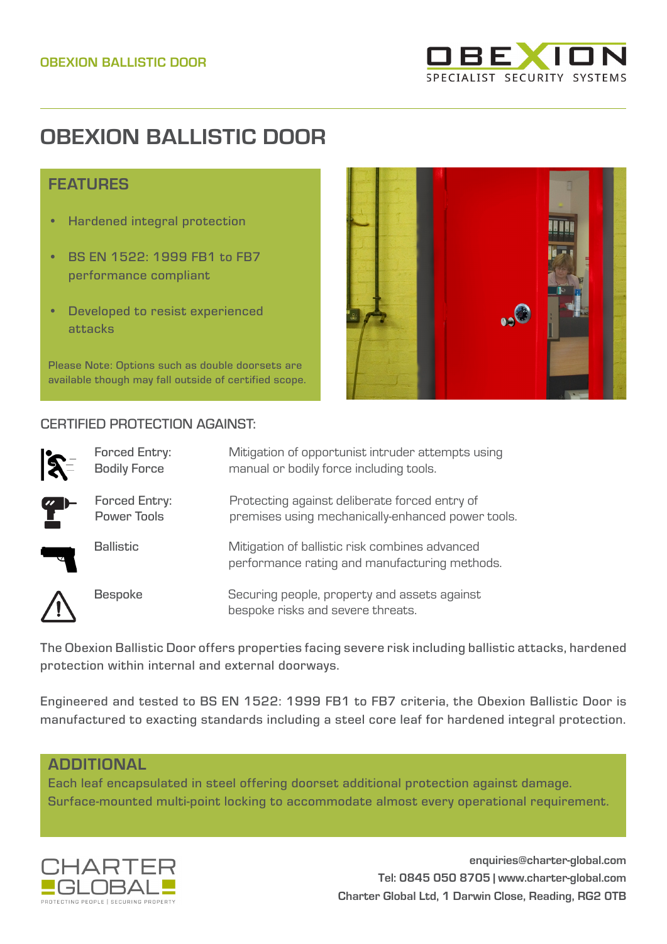

## **OBEXION BALLISTIC DOOR**

## FEATURES

- Hardened integral protection
- BS EN 1522: 1999 FB1 to FB7 performance compliant
- Developed to resist experienced attacks

Please Note: Options such as double doorsets are available though may fall outside of certified scope.

## CERTIFIED PROTECTION AGAINST:



| <b>Forced Entry:</b><br><b>Bodily Force</b> | Mitigation of opportunist intruder attempts using<br>manual or bodily force including tools.       |
|---------------------------------------------|----------------------------------------------------------------------------------------------------|
| Forced Entry:<br><b>Power Tools</b>         | Protecting against deliberate forced entry of<br>premises using mechanically-enhanced power tools. |
| <b>Ballistic</b>                            | Mitigation of ballistic risk combines advanced<br>performance rating and manufacturing methods.    |
| <b>Bespoke</b>                              | Securing people, property and assets against                                                       |

The Obexion Ballistic Door offers properties facing severe risk including ballistic attacks, hardened protection within internal and external doorways.

bespoke risks and severe threats.

Engineered and tested to BS EN 1522: 1999 FB1 to FB7 criteria, the Obexion Ballistic Door is manufactured to exacting standards including a steel core leaf for hardened integral protection.

## ADDITIONAL

Each leaf encapsulated in steel offering doorset additional protection against damage. Surface-mounted multi-point locking to accommodate almost every operational requirement.



**enquiries@charter-global.com Tel: 0845 050 8705 | www.charter-global.com Charter Global Ltd, 1 Darwin Close, Reading, RG2 0TB**